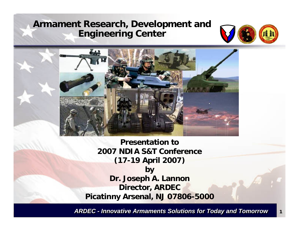## **Armament Research, Development and Engineering Center**





**Presentation to 2007 NDIA S&T Conference (17-19 April 2007) by Dr. Joseph A. Lannon Director, ARDEC Picatinny Arsenal, NJ 07806-5000**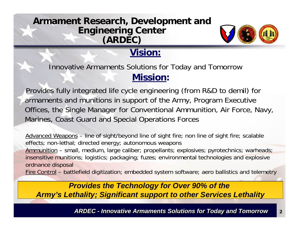## **Armament Research, Development and Engineering Center (ARDEC)**



## **Vision:**

**Mission:** Innovative Armaments Solutions for Today and Tomorrow

Provides fully integrated life cycle engineering (from R&D to demil) for armaments and munitions in support of the Army, Program Executive Offices, the Single Manager for Conventional Ammunition, Air Force, Navy, Marines, Coast Guard and Special Operations Forces

Advanced Weapons – line of sight/beyond line of sight fire; non line of sight fire; scalable effects; non-lethal; directed energy; autonomous weapons Ammunition – small, medium, large caliber; propellants; explosives; pyrotechnics; warheads; insensitive munitions; logistics; packaging; fuzes; environmental technologies and explosive ordnance disposal Fire Control – battlefield digitization; embedded system software; aero ballistics and telemetry

*Provides the Technology for Over 90% of the Army's Lethality; Significant support to other Services Lethality*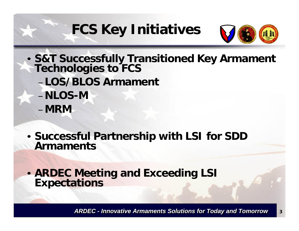## **FCS Key Initiatives**



- **S&T Successfully Transitioned Key Armament Technologies to FCS** –**LOS/BLOS Armament** –**NLOS-M**–**MRM**
- **Successful Partnership with LSI for SDD Armaments**

• **ARDEC Meeting and Exceeding LSI Expectations**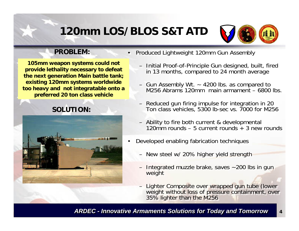## **120mm LOS/BLOS S&T ATD**



#### **PROBLEM:**

**105mm weapon systems could not provide lethality necessary to defeat the next generation Main battle tank; existing 120mm systems worldwide too heavy and not integratable onto a preferred 20 ton class vehicle** 

### **SOLUTION:**



- Produced Lightweight 120mm Gun Assembly Produced Lightweight 120mm Gun Assembly
	- Initial Proof-of-Principle Gun designed, built, fired in 13 months, compared to 24 month average – Initial Proof-of-Principle Gun designed, built, fired in 13 months, compared to 24 month average
	- Gun Assembly Wt. ~ 4200 lbs. as compared to M256 Abrams 120mm main armament – 6800 lbs. – Gun Assembly Wt. ~ 4200 lbs. as compared to M256 Abrams 120mm main armament – 6800 lbs.
	- Reduced gun firing impulse for integration in 20 Ton class vehicles, 5300 lb-sec vs. 7000 for M256 – Reduced gun firing impulse for integration in 20 Ton class vehicles, 5300 lb-sec vs. 7000 for M256
	- Ability to fire both current & developmental 120mm rounds – 5 current rounds + 3 new rounds – Ability to fire both current & developmental 120mm rounds – 5 current rounds + 3 new rounds
- Developed enabling fabrication techniques Developed enabling fabrication techniques
	- New steel w/ 20% higher yield strength New steel w/ 20% higher yield strength
	- Integrated muzzle brake, saves ~200 lbs in gun Integrated muzzle brake, saves ~200 lbs in gun weight weight
	- Lighter Composite over wrapped gun tube (lower weight without loss of pressure containment, over 35% lighter than the M256 35% lighter than the M256 – Lighter Composite over wrapped gun tube (lower weight without loss of pressure containment, over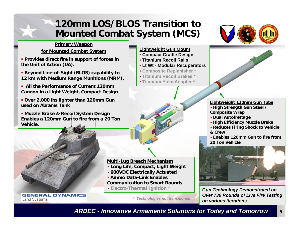## **120mm LOS/BLOS Transition to Mounted Combat System (MCS)**



#### **Primary Weapon**

#### **for Mounted Combat System**

- **Provides direct fire in support of forces in the Unit of Action (UA).**
- **Beyond Line-of-Sight (BLOS) capability to 12 km with Medium Range Munitions (MRM).**
- **All the Performance of Current 120mm Cannon in a Light Weight, Compact Design**
- **Over 2,000 lbs lighter than 120mm Gun used on Abrams Tank**

 **Muzzle Brake & Recoil System Design Enables a 120mm Gun to fire from a 20 Ton Vehicle.**



**GENERAL DYNAMICS Land Systems** 

#### **Lightweight Gun Mount**

- **Compact Cradle Design**
- **Titanium Recoil Rails**
- **Lt Wt Modular Recuperators**
- **Composite Replenisher \***
- **Titanium Recoil Brakes \***
- **Titanium Yoke/Adapter \***



#### **Lightweight 120mm Gun Tube**

- **High Strength Gun Steel / Composite Wrap**
- **Dual Autofrettage**
- **High Efficiency Muzzle Brake**
- **Reduces Firing Shock to Vehicle & Crew**
- **Enables 120mm Gun to fire from 20 Ton Vehicle**



*Gun Technology Demonstrated on Over 730 Rounds of Live Fire Testing on various iterations*

**5**

*\* Technologies not transitioned*

**Multi-Lug Breech Mechanism**

• **Electro-Thermal Ignition \***

• **Long Life, Compact, Light Weight** • **600VDC Electrically Actuated** • **Ammo Data-Link Enables** 

**Communication to Smart Rounds**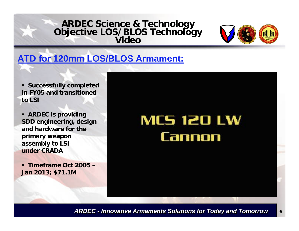# **ARDEC Science & Technology Objective LOS/BLOS Technology Video**



## **ATD for 120mm LOS/BLOS Armament:**

 **Successfully completed in FY05 and transitioned to LSI**

 **ARDEC is providing SDD engineering, design and hardware for the primary weapon assembly to LSI under CRADA**

 **Timeframe Oct 2005 –Jan 2013; \$71.1M**

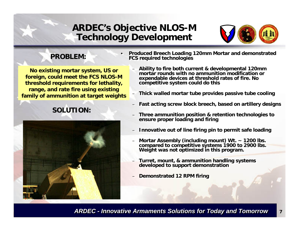## **ARDEC's Objective NLOS-M Technology Development**



#### **PROBLEM:**

**No existing mortar system, US or foreign, could meet the FCS NLOS-M threshold requirements for lethality, range, and rate fire using existing family of ammunition at target weights** 

### **SOLUTION:**



- **Produced Breech Loading 120mm Mortar and demonstrated Produced Breech Loading 120mm Mortar and demonstrated FCS required technologies FCS required technologies**
	- **Ability to fire both current & developmental 120mm Ability to fire both current & developmental 120mm mortar rounds with no ammunition modification or mortar rounds with no ammunition modification or expendable devices at threshold rates of fire. No expendable devices at threshold rates of fire. No competitive system could do this competitive system could do this**
	- **Thick walled mortar tube provides passive tube cooling Thick walled mortar tube provides passive tube cooling**
	- **Fast acting screw block breech, based on artillery designs Fast acting screw block breech, based on artillery designs**
	- **Three ammunition position & retention technologies to Three ammunition position & retention technologies to ensure proper loading and firing ensure proper loading and firing**
	- **Innovative out of line firing pin to permit safe loading Innovative out of line firing pin to permit safe loading**
	- **Mortar Assembly (including mount) Wt. ~ 1200 lbs. Mortar Assembly (including mount) Wt. ~ 1200 lbs. compared to competitive systems 1900 to 2900 lbs. compared to competitive systems 1900 to 2900 lbs. Weight was not optimized in this program. Weight was not optimized in this program.**
	- **Turret, mount, & ammunition handling systems Turret, mount, & ammunition handling systems developed to support demonstration developed to support demonstration**
	- **Demonstrated 12 RPM firing Demonstrated 12 RPM firing**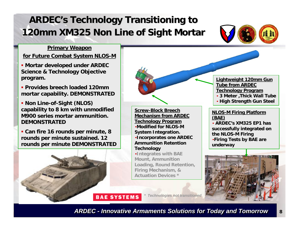## **ARDEC's Technology Transitioning to 120mm XM325 Non Line of Sight Mortar 120mm XM325 Non Line of Sight Mortar**



#### **Primary Weapon**

#### **for Future Combat System NLOS-M**

- **Mortar developed under ARDEC Science & Technology Objective program.**
- **Provides breech loaded 120mm mortar capability. DEMONSTRATED**
- **Non Line-of-Sight (NLOS) capability to 8 km with unmodified M900 series mortar ammunition. DEMONSTRATED**

 **Can fire 16 rounds per minute, 8 rounds per minute sustained. 12 rounds per minute DEMONSTRATED**



**Screw-Block Breech Mechanism from ARDEC Technology Program** •**Modified for NLOS-M System Integration.** •**Incorporates one ARDEC Ammunition Retention Technology**

•**Integrates with BAE Mount, Ammunition Loading, Round Retention, Firing Mechanism, & Actuation Devices \***

**Lightweight 120mm Gun Tube from ARDEC Technology Program**

- **3 Meter ,Thick Wall Tube**
- **High Strength Gun Steel**

#### **NLOS-M Firing Platform (BAE)**

• **ARDEC's XM325 EP1 has successfully integrated on the NLOS-M Firing** •**Firing Tests by BAE are underway**



**BAE SYSTEMS** 

*\* Technologies not transitioned*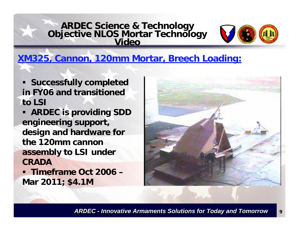# **ARDEC Science & Technology Objective NLOS Mortar Technology Video**



## **XM325, Cannon, 120mm Mortar, Breech Loading:**

- **Successfully completed in FY06 and transitioned to LSI**
- $\blacksquare$  **ARDEC is providing SDD engineering support, design and hardware for the 120mm cannon assembly to LSI under CRADA**
- Г **Timeframe Oct 2006 –Mar 2011; \$4.1M**

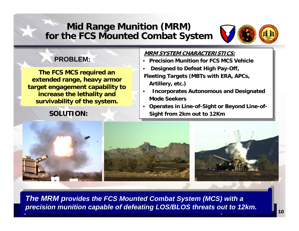## **Mid Range Munition (MRM) for the FCS Mounted Combat System**



#### **PROBLEM:**

**The FCS MCS required an extended range, heavy armor target engagement capability to increase the lethality and survivability of the system.** 

#### **SOLUTION:**

#### **MRM SYSTEM CHARACTERISTICS:MRM SYSTEM CHARACTERISTICS:**

- **Precision Munition for FCS MCS Vehicle Precision Munition for FCS MCS Vehicle**
- **Designed to Defeat High Pay-Off, Designed to Defeat High Pay-Off, Fleeting Targets (MBTs with ERA, APCs, Fleeting Targets (MBTs with ERA, APCs,**
- **Artillery, etc.) Artillery, etc.)** • **Incorporates Autonomous and Designated**  • **Incorporates Autonomous and Designated Mode Seekers Mode Seekers**
- **Operates in Line-of-Sight or Beyond Line-of- Operates in Line-of-Sight or Beyond Line-of-Sight from 2km out to 12Km Sight from 2km out to 12Km**



*ARDEC - Innovative Armaments Solutions for Today and Tomorrow ARDEC - Innovative Armaments Solutions for Today and Tomorrow* **<sup>10</sup>** *The MRM provides the FCS Mounted Combat System (MCS) with a precision munition capable of defeating LOS/BLOS threats out to 12km.*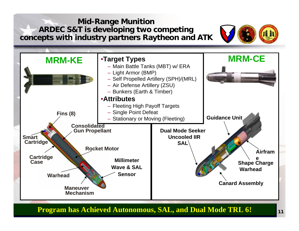**Mid-Range Munition ARDEC S&T is developing two competing concepts with industry partners Raytheon and ATK**





*ARDEC - Innovative Armaments Solutions for Today and Tomorrow ARDEC - Innovative Armaments Solutions for Today and Tomorrow* **<sup>11</sup> Program has Achieved Autonomous, SAL, and Dual Mode TRL 6! Program has Achieved Autonomous, SAL, and Dual Mode TRL 6!**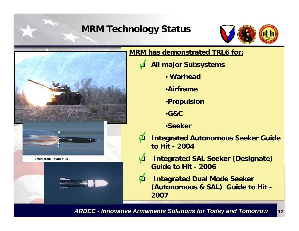## **MRM Technology Status**





#### **MRM has demonstrated TRL6 for:**

- $\bm{\nabla}$  **All major Subsystems**
	- **Warhead**
	- •**Airframe**
	- •**Propulsion**
	- •**G&C**
	- •**Seeker**
- 71 **Integrated Autonomous Seeker Guide to Hit - 2004**
- **71 Integrated SAL Seeker (Designate) Guide to Hit - 2006**
- 71 **Integrated Dual Mode Seeker (Autonomous & SAL) Guide to Hit - 2007**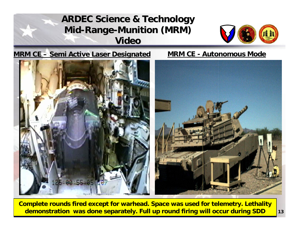## **ARDEC Science & Technology Mid-Range-Munition (MRM) Video**



#### **MRM CE – Semi Active Laser Designated MRM CE - Autonomous Mode**





<mark>demonstration was done separately. Full up round firing will occur during SDD </mark>13 **Complete rounds fired except for warhead. Space was used for telemetry. Lethality**